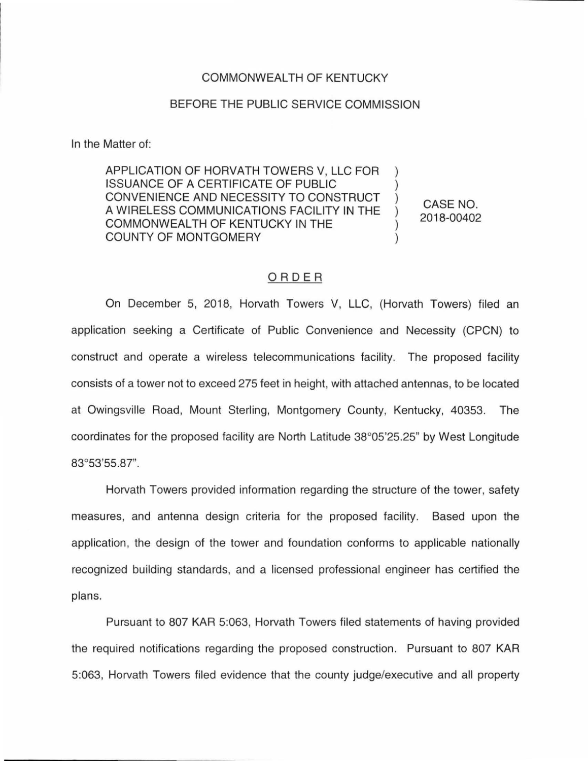## COMMONWEALTH OF KENTUCKY

## BEFORE THE PUBLIC SERVICE COMMISSION

In the Matter of:

APPLICATION OF HORVATH TOWERS V, LLC FOR ISSUANCE OF A CERTIFICATE OF PUBLIC CONVENIENCE AND NECESSITY TO CONSTRUCT A WIRELESS COMMUNICATIONS FACILITY IN THE COMMONWEALTH OF KENTUCKY IN THE COUNTY OF MONTGOMERY

CASE NO. 2018-00402

## ORDER

On December 5, 2018, Horvath Towers V, LLC, (Horvath Towers) filed an application seeking a Certificate of Public Convenience and Necessity (CPCN) to construct and operate a wireless telecommunications facility. The proposed facility consists of a tower not to exceed 275 feet in height, with attached antennas, to be located at Owingsville Road, Mount Sterling, Montgomery County, Kentucky, 40353. The coordinates for the proposed facility are North Latitude 38°05'25.25" by West Longitude 83°53'55.87".

Horvath Towers provided information regarding the structure of the tower, safety measures, and antenna design criteria for the proposed facility. Based upon the application, the design of the tower and foundation conforms to applicable nationally recognized building standards, and a licensed professional engineer has certified the plans.

Pursuant to 807 KAR 5:063, Horvath Towers filed statements of having provided the required notifications regarding the proposed construction. Pursuant to 807 KAR 5:063, Horvath Towers filed evidence that the county judge/executive and all property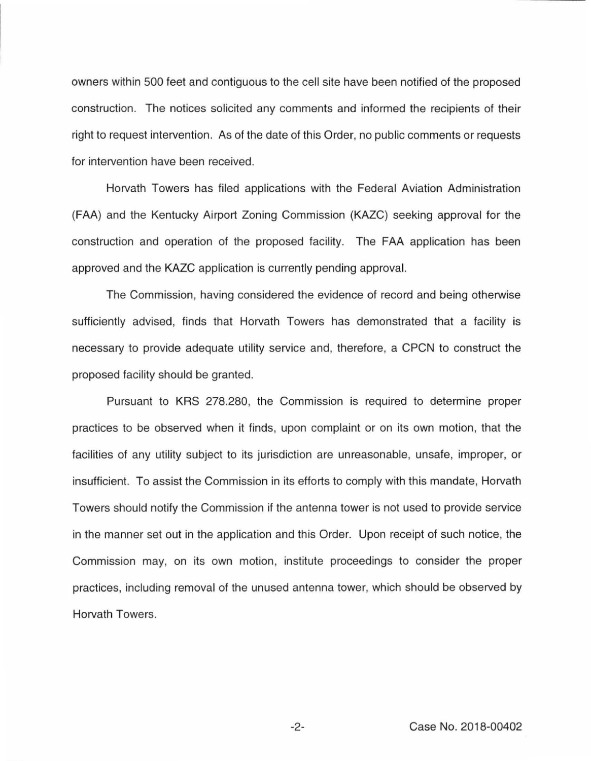owners within 500 feet and contiguous to the cell site have been notified of the proposed construction. The notices solicited any comments and informed the recipients of their right to request intervention. As of the date of this Order, no public comments or requests for intervention have been received.

Horvath Towers has filed applications with the Federal Aviation Administration (FAA) and the Kentucky Airport Zoning Commission (KAZC) seeking approval for the construction and operation of the proposed facility. The FAA application has been approved and the KAZC application is currently pending approval.

The Commission, having considered the evidence of record and being otherwise sufficiently advised, finds that Horvath Towers has demonstrated that a facility is necessary to provide adequate utility service and, therefore, a CPCN to construct the proposed facility should be granted.

Pursuant to KRS 278.280, the Commission is required to determine proper practices to be observed when it finds, upon complaint or on its own motion, that the facilities of any utility subject to its jurisdiction are unreasonable, unsafe, improper, or insufficient. To assist the Commission in its efforts to comply with this mandate, Horvath Towers should notify the Commission if the antenna tower is not used to provide service in the manner set out in the application and this Order. Upon receipt of such notice, the Commission may, on its own motion, institute proceedings to consider the proper practices, including removal of the unused antenna tower, which should be observed by Horvath Towers.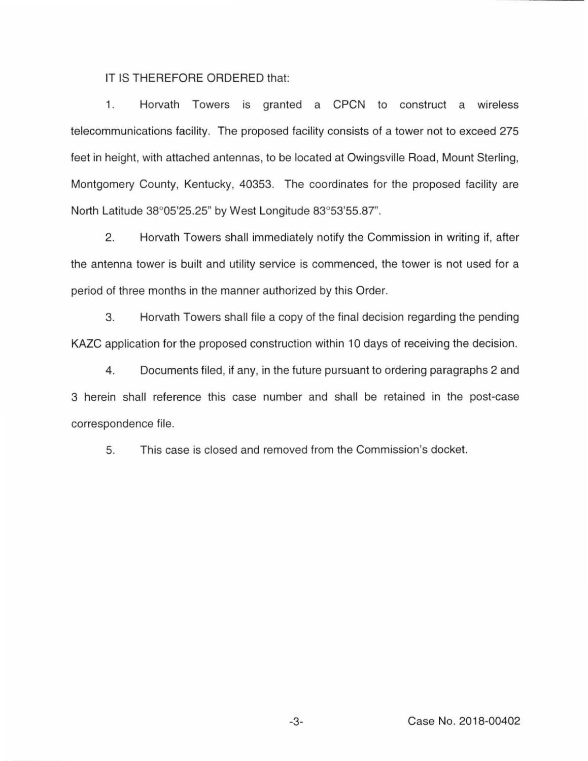IT IS THEREFORE ORDERED that:

1. Horvath Towers is granted a CPCN to construct a wireless telecommunications facility. The proposed facility consists of a tower not to exceed 275 feet in height, with attached antennas, to be located at Owingsville Road, Mount Sterling, Montgomery County, Kentucky, 40353. The coordinates for the proposed facility are North Latitude 38°05'25.25" by West Longitude 83°53'55.87".

2. Horvath Towers shall immediately notify the Commission in writing if, after the antenna tower is built and utility service is commenced, the tower is not used for a period of three months in the manner authorized by this Order.

3. Horvath Towers shall file a copy of the final decision regarding the pending KAZC application for the proposed construction within 10 days of receiving the decision.

4. Documents filed, if any, in the future pursuant to ordering paragraphs 2 and 3 herein shall reference this case number and shall be retained in the post-case correspondence file.

5. This case is closed and removed from the Commission's docket.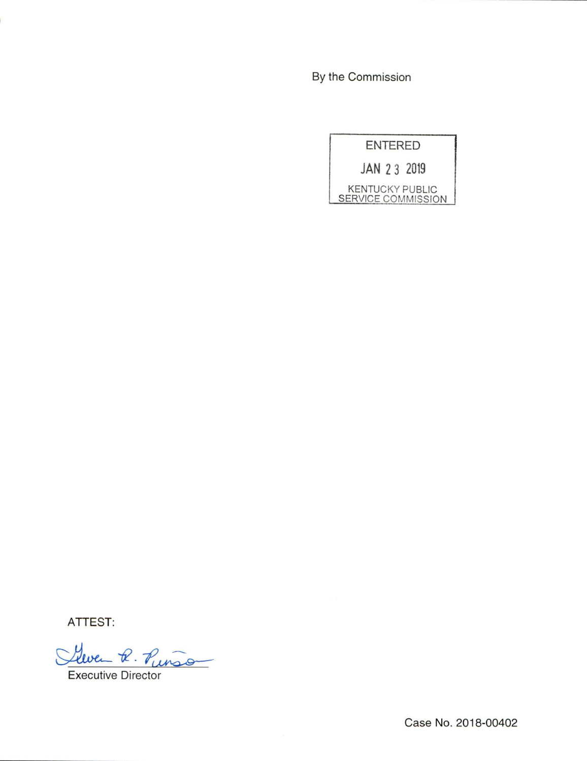By the Commission

ENTERED JAN 2 3 2019 KENTUCKY PUBLIC SERVICE COMMISSION

ATTEST:

Gleven R. Punson

Executive Director

Case No. 2018-00402